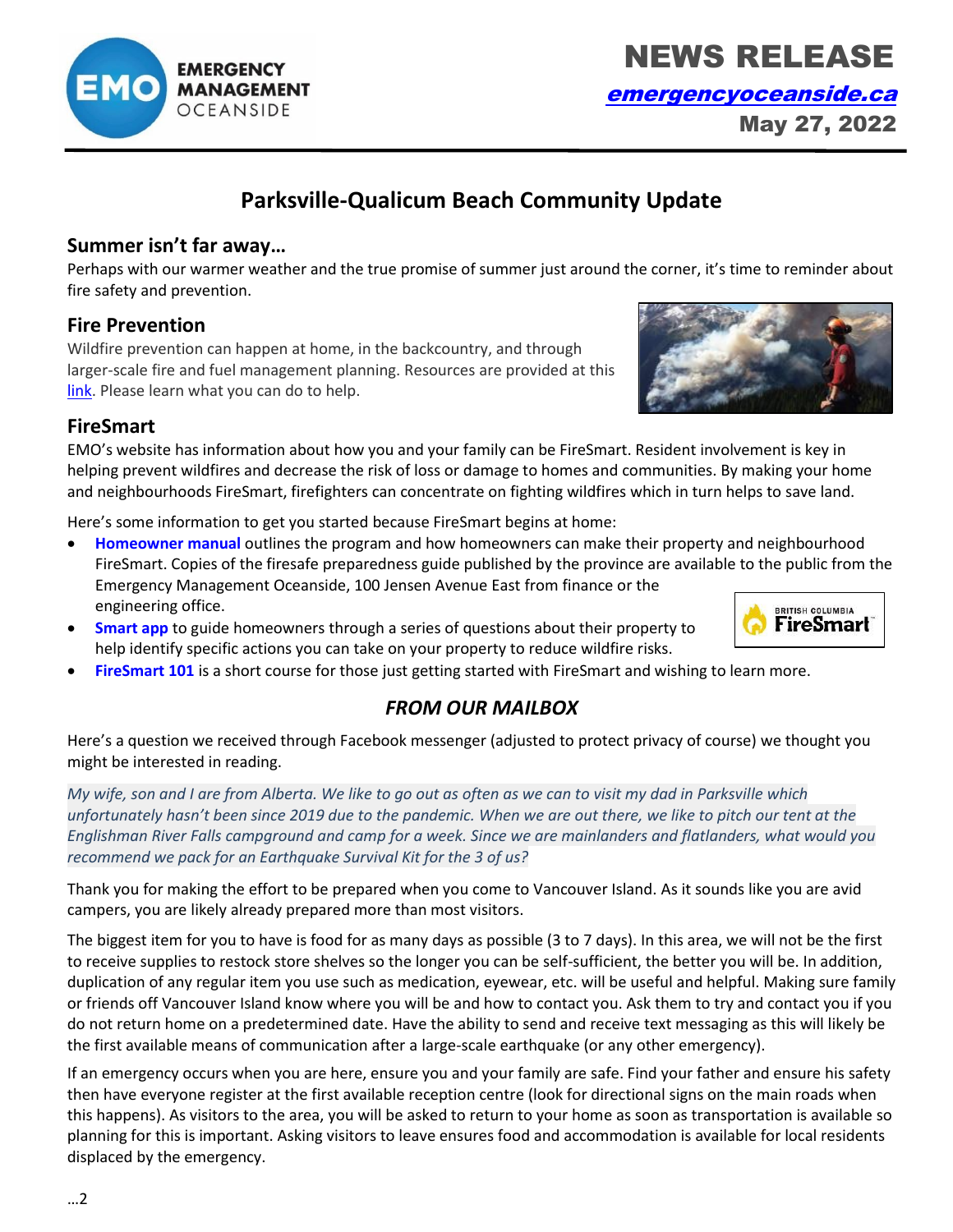…2

# **Parksville-Qualicum Beach Community Update**

#### **Summer isn't far away…**

Perhaps with our warmer weather and the true promise of summer just around the corner, it's time to reminder about fire safety and prevention.

## **Fire Prevention**

Wildfire prevention can happen at home, in the backcountry, and through larger-scale fire and fuel management planning. Resources are provided at this [link.](https://www2.gov.bc.ca/gov/content/safety/wildfire-status/prevention) Please learn what you can do to help.

### **FireSmart**

EMO's website has information about how you and your family can be FireSmart. Resident involvement is key in helping prevent wildfires and decrease the risk of loss or damage to homes and communities. By making your home and neighbourhoods FireSmart, firefighters can concentrate on fighting wildfires which in turn helps to save land.

Here's some information to get you started because FireSmart begins at home:

- **[Homeowner manual](https://homeowners-manual.firesmartbc.ca/)** outlines the program and how homeowners can make their property and neighbourhood FireSmart. Copies of the firesafe preparedness guide published by the province are available to the public from the Emergency Management Oceanside, 100 Jensen Avenue East from finance or the engineering office. **BRITISH COLUMBIA**
- **[Smart app](https://firesmartcanada.ca/programs-and-education/firesmart-begins-at-home-app/)** to guide homeowners through a series of questions about their property to help identify specific actions you can take on your property to reduce wildfire risks.
- **[FireSmart 101](https://firesmartcanada.ca/programs-and-education/firesmart-101/)** is a short course for those just getting started with FireSmart and wishing to learn more.

## *FROM OUR MAILBOX*

Here's a question we received through Facebook messenger (adjusted to protect privacy of course) we thought you might be interested in reading.

*My wife, son and I are from Alberta. We like to go out as often as we can to visit my dad in Parksville which unfortunately hasn't been since 2019 due to the pandemic. When we are out there, we like to pitch our tent at the Englishman River Falls campground and camp for a week. Since we are mainlanders and flatlanders, what would you recommend we pack for an Earthquake Survival Kit for the 3 of us?*

Thank you for making the effort to be prepared when you come to Vancouver Island. As it sounds like you are avid campers, you are likely already prepared more than most visitors.

The biggest item for you to have is food for as many days as possible (3 to 7 days). In this area, we will not be the first to receive supplies to restock store shelves so the longer you can be self-sufficient, the better you will be. In addition, duplication of any regular item you use such as medication, eyewear, etc. will be useful and helpful. Making sure family or friends off Vancouver Island know where you will be and how to contact you. Ask them to try and contact you if you do not return home on a predetermined date. Have the ability to send and receive text messaging as this will likely be the first available means of communication after a large-scale earthquake (or any other emergency).

If an emergency occurs when you are here, ensure you and your family are safe. Find your father and ensure his safety then have everyone register at the first available reception centre (look for directional signs on the main roads when this happens). As visitors to the area, you will be asked to return to your home as soon as transportation is available so planning for this is important. Asking visitors to leave ensures food and accommodation is available for local residents displaced by the emergency.









[emergencyoceanside.ca](http://www.emergencyoceanside.ca/)

May 27, 2022